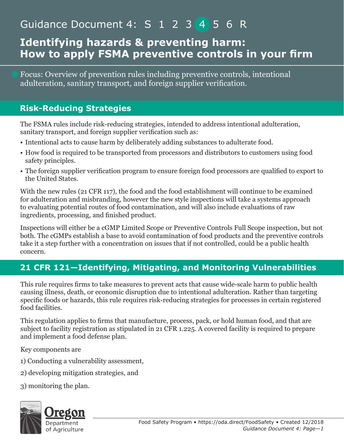# Guidance Document 4: S 1 2 3 4 5 6 R

### **Identifying hazards & preventing harm: How to apply FSMA preventive controls in your firm**

Focus: Overview of prevention rules including preventive controls, intentional adulteration, sanitary transport, and foreign supplier verification.

#### **Risk-Reducing Strategies**

The FSMA rules include risk-reducing strategies, intended to address intentional adulteration, sanitary transport, and foreign supplier verification such as:

- Intentional acts to cause harm by deliberately adding substances to adulterate food.
- How food is required to be transported from processors and distributors to customers using food safety principles.
- The foreign supplier verification program to ensure foreign food processors are qualified to export to the United States.

With the new rules (21 CFR 117), the food and the food establishment will continue to be examined for adulteration and misbranding, however the new style inspections will take a systems approach to evaluating potential routes of food contamination, and will also include evaluations of raw ingredients, processing, and finished product.

Inspections will either be a cGMP Limited Scope or Preventive Controls Full Scope inspection, but not both. The cGMPs establish a base to avoid contamination of food products and the preventive controls take it a step further with a concentration on issues that if not controlled, could be a public health concern.

### **21 CFR 121—Identifying, Mitigating, and Monitoring Vulnerabilities**

This rule requires firms to take measures to prevent acts that cause wide-scale harm to public health causing illness, death, or economic disruption due to intentional adulteration. Rather than targeting specific foods or hazards, this rule requires risk-reducing strategies for processes in certain registered food facilities.

This regulation applies to firms that manufacture, process, pack, or hold human food, and that are subject to facility registration as stipulated in 21 CFR 1.225. A covered facility is required to prepare and implement a food defense plan.

Key components are

1) Conducting a vulnerability assessment,

- 2) developing mitigation strategies, and
- 3) monitoring the plan.



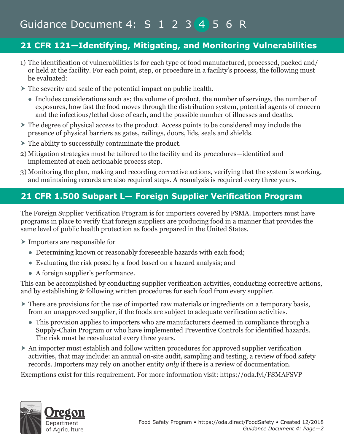# Guidance Document 4: S 1 2 3 4 5 6 R

### **21 CFR 121—Identifying, Mitigating, and Monitoring Vulnerabilities**

- 1) The identification of vulnerabilities is for each type of food manufactured, processed, packed and/ or held at the facility. For each point, step, or procedure in a facility's process, the following must be evaluated:
- The severity and scale of the potential impact on public health.
	- Includes considerations such as; the volume of product, the number of servings, the number of exposures, how fast the food moves through the distribution system, potential agents of concern and the infectious/lethal dose of each, and the possible number of illnesses and deaths.
- The degree of physical access to the product. Access points to be considered may include the presence of physical barriers as gates, railings, doors, lids, seals and shields.
- $\triangleright$  The ability to successfully contaminate the product.
- 2) Mitigation strategies must be tailored to the facility and its procedures—identified and implemented at each actionable process step.
- 3) Monitoring the plan, making and recording corrective actions, verifying that the system is working, and maintaining records are also required steps. A reanalysis is required every three years.

### **21 CFR 1.500 Subpart L— Foreign Supplier Verification Program**

The Foreign Supplier Verification Program is for importers covered by FSMA. Importers must have programs in place to verify that foreign suppliers are producing food in a manner that provides the same level of public health protection as foods prepared in the United States.

Importers are responsible for

- Determining known or reasonably foreseeable hazards with each food;
- Evaluating the risk posed by a food based on a hazard analysis; and
- A foreign supplier's performance.

This can be accomplished by conducting supplier verification activities, conducting corrective actions, and by establishing & following written procedures for each food from every supplier.

- There are provisions for the use of imported raw materials or ingredients on a temporary basis, from an unapproved supplier, if the foods are subject to adequate verification activities.
	- This provision applies to importers who are manufacturers deemed in compliance through a Supply-Chain Program or who have implemented Preventive Controls for identified hazards. The risk must be reevaluated every three years.
- An importer must establish and follow written procedures for approved supplier verification activities, that may include: an annual on-site audit, sampling and testing, a review of food safety records. Importers may rely on another entity *only* if there is a review of documentation.

Exemptions exist for this requirement. For more information visit: https://oda.fyi/FSMAFSVP